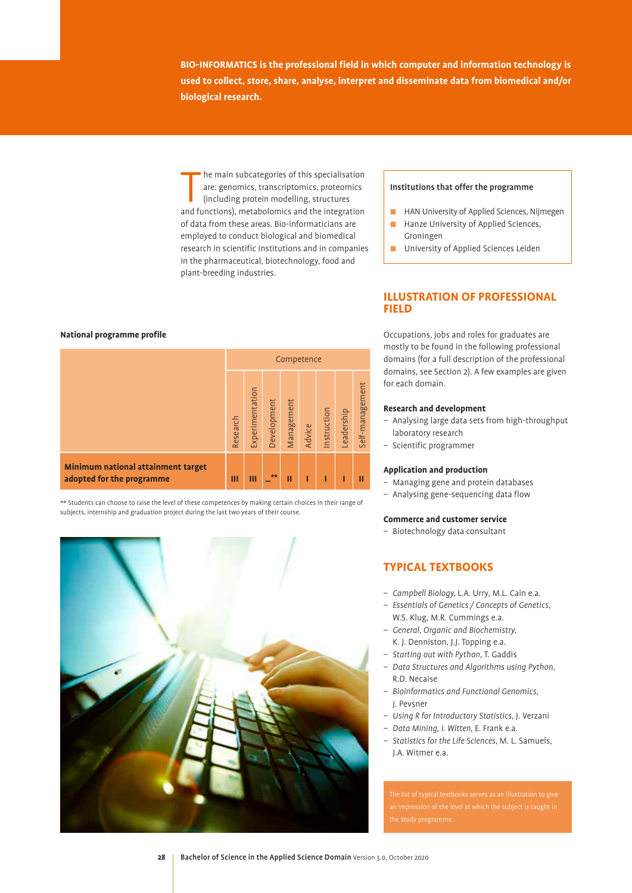**BIO-INFORMATICS is the professional field in which computer and information technology is used to collect, store, share, analyse, interpret and disseminate data from biomedical and/or biological research.** 

he main subcategories of this specialisation<br>are: genomics, transcriptomics, proteomics<br>(including protein modelling, structures<br>and functions), metabolomics and the integration he main subcategories of this specialisation are: genomics, transcriptomics, proteomics (including protein modelling, structures of data from these areas. Bio-informaticians are employed to conduct biological and biomedical research in scientific institutions and in companies in the pharmaceutical, biotechnology, food and plant-breeding industries.

#### Institutions that offer the programme

- **E** HAN University of Applied Sciences, Nijmegen
- **E** Hanze University of Applied Sciences, Groningen

**ILLUSTRATION OF PROFESSIONAL** 

**I** University of Applied Sciences Leiden

## **FIELD**

Occupations, jobs and roles for graduates are mostly to be found in the following professional domains (for a full description of the professional domains, see Section 2). A few examples are given for each domain.

#### **Research and development**

- Analysing large data sets from high-throughput laboratory research
- Scientific programmer

#### **Application and production**

- Managing gene and protein databases
- Analysing gene-sequencing data flow

#### **Commerce and customer service**

– Biotechnology data consultant

#### **TYPICAL TEXTBOOKS**

- *Campbell Biology,* L.A. Urry, M.L. Cain e.a.
- *Essentials of Genetics / Concepts of Genetics,*  W.S. Klug, M.R. Cummings e.a.
- *General, Organic and Biochemistry,*  K. J. Denniston, J.J. Topping e.a.
- *Starting out with Python,* T. Gaddis
- *Data Structures and Algorithms using Python,*  R.D. Necaise
- *Bioinformatics and Functional Genomics,*  J. Pevsner
- *Using R for Introductory Statistics,* J. Verzani
- *Data Mining, I. Witten,* E. Frank e.a.
- *Statistics for the Life Sciences,* M. L. Samuels, J.A. Witmer e.a.

#### **National programme profile**

|                                                                        | Competence |                 |             |            |        |             |            |                 |
|------------------------------------------------------------------------|------------|-----------------|-------------|------------|--------|-------------|------------|-----------------|
|                                                                        | Research   | Experimentation | Development | Management | Advice | Instruction | Leadership | Self-management |
| <b>Minimum national attainment target</b><br>adopted for the programme | Ш          | Ш               | $**$        | П          | ı      | Π           |            | П               |

\*\* Students can choose to raise the level of these competences by making certain choices in their range of subjects, internship and graduation project during the last two years of their course.

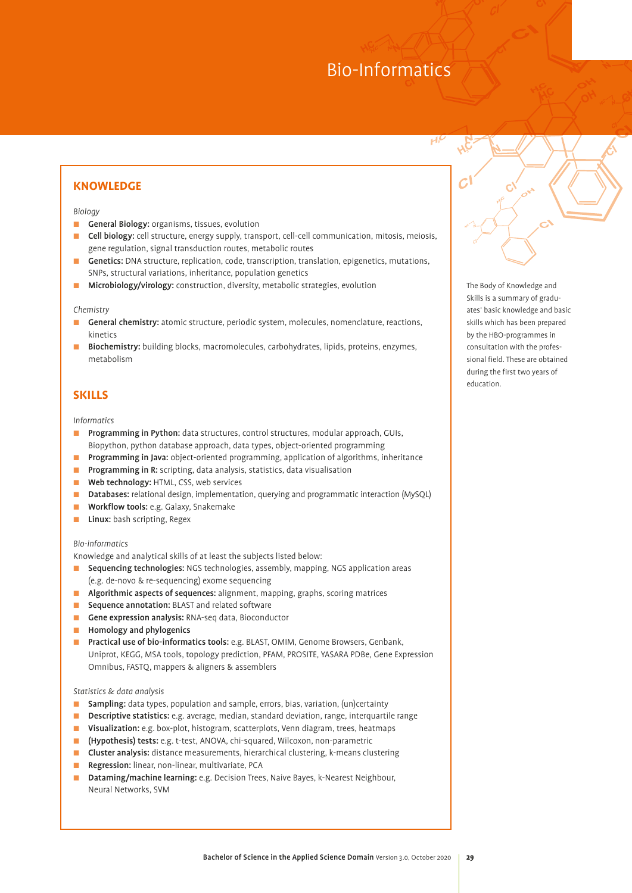#### **KNOWLEDGE**

#### *Biology*

- **Ceneral Biology:** organisms, tissues, evolution
- **Cell biology:** cell structure, energy supply, transport, cell-cell communication, mitosis, meiosis, gene regulation, signal transduction routes, metabolic routes
- **Cenetics:** DNA structure, replication, code, transcription, translation, epigenetics, mutations, SNPs, structural variations, inheritance, population genetics
- **E** Microbiology/virology: construction, diversity, metabolic strategies, evolution

#### *Chemistry*

- **E** General chemistry: atomic structure, periodic system, molecules, nomenclature, reactions, kinetics
- **E** Biochemistry: building blocks, macromolecules, carbohydrates, lipids, proteins, enzymes, metabolism

#### **SKILLS**

#### *Informatics*

- **E** Programming in Python: data structures, control structures, modular approach, GUIs, Biopython, python database approach, data types, object-oriented programming
- **Programming in Java:** object-oriented programming, application of algorithms, inheritance
- **Programming in R:** scripting, data analysis, statistics, data visualisation
- **E** Web technology: HTML, CSS, web services
- **D** Databases: relational design, implementation, querying and programmatic interaction (MySQL)
- **Norkflow tools:** e.g. Galaxy, Snakemake
- **Linux:** bash scripting, Regex

#### *Bio-informatics*

Knowledge and analytical skills of at least the subjects listed below:

- **E** Sequencing technologies: NGS technologies, assembly, mapping, NGS application areas (e.g. de-novo & re-sequencing) exome sequencing
- **E** Algorithmic aspects of sequences: alignment, mapping, graphs, scoring matrices
- **E** Sequence annotation: BLAST and related software
- Gene expression analysis: RNA-seq data, Bioconductor
- **EXECUTE:** Homology and phylogenics
- **E** Practical use of bio-informatics tools: e.g. BLAST, OMIM, Genome Browsers, Genbank, Uniprot, KEGG, MSA tools, topology prediction, PFAM, PROSITE, YASARA PDBe, Gene Expression Omnibus, FASTQ, mappers & aligners & assemblers

#### *Statistics & data analysis*

- **E** Sampling: data types, population and sample, errors, bias, variation, (un)certainty
- **E:** Descriptive statistics: e.g. average, median, standard deviation, range, interquartile range
- **E** Visualization: e.g. box-plot, histogram, scatterplots, Venn diagram, trees, heatmaps
- : (Hypothesis) tests: e.g. t-test, ANOVA, chi-squared, Wilcoxon, non-parametric
- **E** Cluster analysis: distance measurements, hierarchical clustering, k-means clustering
- **E** Regression: linear, non-linear, multivariate, PCA
- **Dataming/machine learning:** e.g. Decision Trees, Naive Bayes, k-Nearest Neighbour, Neural Networks, SVM

The Body of Knowledge and Skills is a summary of graduates' basic knowledge and basic skills which has been prepared by the HBO-programmes in consultation with the professional field. These are obtained during the first two years of education.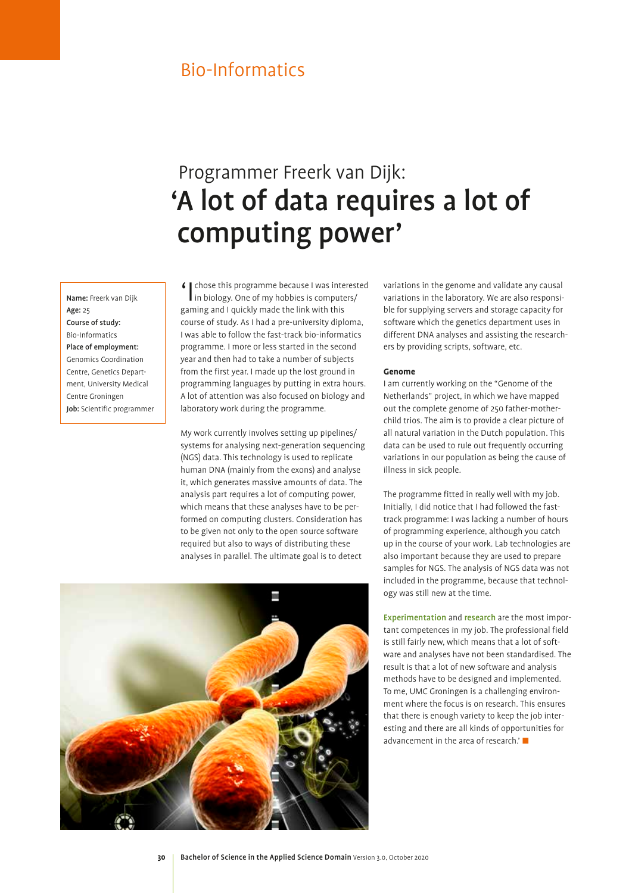# Programmer Freerk van Dijk: 'A lot of data requires a lot of computing power'

Name: Freerk van Dijk Age: 25 Course of study: Bio-Informatics Place of employment: Genomics Coordination Centre, Genetics Department, University Medical Centre Groningen Job: Scientific programmer

I chose this programme because I was interested in biology. One of my hobbies is computers/ gaming and I quickly made the link with this course of study. As I had a pre-university diploma, I was able to follow the fast-track bio-informatics programme. I more or less started in the second year and then had to take a number of subjects from the first year. I made up the lost ground in programming languages by putting in extra hours. A lot of attention was also focused on biology and laboratory work during the programme.

My work currently involves setting up pipelines/ systems for analysing next-generation sequencing (NGS) data. This technology is used to replicate human DNA (mainly from the exons) and analyse it, which generates massive amounts of data. The analysis part requires a lot of computing power, which means that these analyses have to be performed on computing clusters. Consideration has to be given not only to the open source software required but also to ways of distributing these analyses in parallel. The ultimate goal is to detect

variations in the genome and validate any causal variations in the laboratory. We are also responsible for supplying servers and storage capacity for software which the genetics department uses in different DNA analyses and assisting the researchers by providing scripts, software, etc.

#### **Genome**

I am currently working on the "Genome of the Netherlands" project, in which we have mapped out the complete genome of 250 father-motherchild trios. The aim is to provide a clear picture of all natural variation in the Dutch population. This data can be used to rule out frequently occurring variations in our population as being the cause of illness in sick people.

The programme fitted in really well with my job. Initially, I did notice that I had followed the fasttrack programme: I was lacking a number of hours of programming experience, although you catch up in the course of your work. Lab technologies are also important because they are used to prepare samples for NGS. The analysis of NGS data was not included in the programme, because that technology was still new at the time.

Experimentation and research are the most important competences in my job. The professional field is still fairly new, which means that a lot of software and analyses have not been standardised. The result is that a lot of new software and analysis methods have to be designed and implemented. To me, UMC Groningen is a challenging environment where the focus is on research. This ensures that there is enough variety to keep the job interesting and there are all kinds of opportunities for advancement in the area of research.'

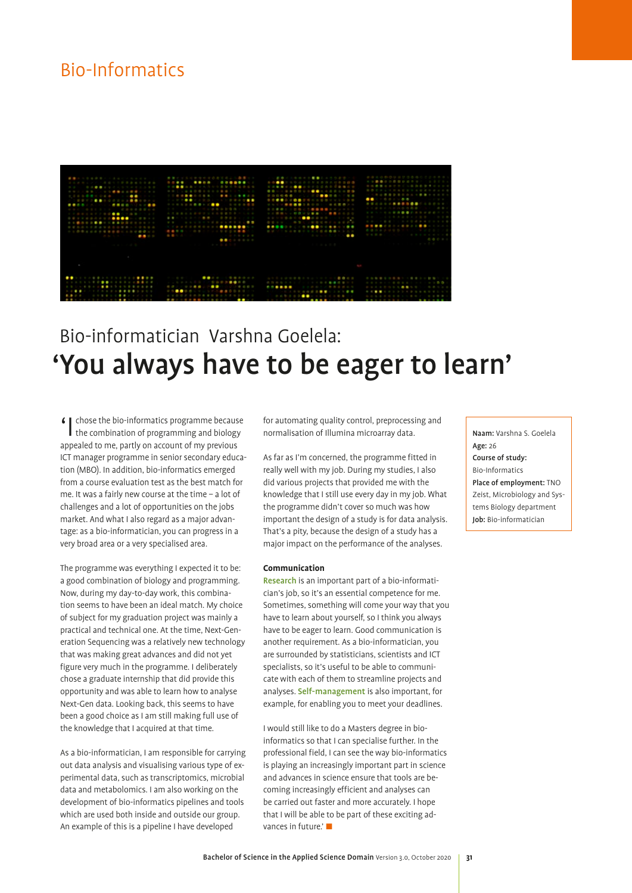

# Bio-informatician Varshna Goelela: 'You always have to be eager to learn'

'I chose the bio-informatics programme because the combination of programming and biology appealed to me, partly on account of my previous ICT manager programme in senior secondary education (MBO). In addition, bio-informatics emerged from a course evaluation test as the best match for me. It was a fairly new course at the time – a lot of challenges and a lot of opportunities on the jobs market. And what I also regard as a major advantage: as a bio-informatician, you can progress in a very broad area or a very specialised area.

The programme was everything I expected it to be: a good combination of biology and programming. Now, during my day-to-day work, this combination seems to have been an ideal match. My choice of subject for my graduation project was mainly a practical and technical one. At the time, Next-Generation Sequencing was a relatively new technology that was making great advances and did not yet figure very much in the programme. I deliberately chose a graduate internship that did provide this opportunity and was able to learn how to analyse Next-Gen data. Looking back, this seems to have been a good choice as I am still making full use of the knowledge that I acquired at that time.

As a bio-informatician, I am responsible for carrying out data analysis and visualising various type of experimental data, such as transcriptomics, microbial data and metabolomics. I am also working on the development of bio-informatics pipelines and tools which are used both inside and outside our group. An example of this is a pipeline I have developed

for automating quality control, preprocessing and normalisation of Illumina microarray data.

As far as I'm concerned, the programme fitted in really well with my job. During my studies, I also did various projects that provided me with the knowledge that I still use every day in my job. What the programme didn't cover so much was how important the design of a study is for data analysis. That's a pity, because the design of a study has a major impact on the performance of the analyses.

#### **Communication**

Research is an important part of a bio-informatician's job, so it's an essential competence for me. Sometimes, something will come your way that you have to learn about yourself, so I think you always have to be eager to learn. Good communication is another requirement. As a bio-informatician, you are surrounded by statisticians, scientists and ICT specialists, so it's useful to be able to communicate with each of them to streamline projects and analyses. Self-management is also important, for example, for enabling you to meet your deadlines.

I would still like to do a Masters degree in bioinformatics so that I can specialise further. In the professional field, I can see the way bio-informatics is playing an increasingly important part in science and advances in science ensure that tools are becoming increasingly efficient and analyses can be carried out faster and more accurately. I hope that I will be able to be part of these exciting advances in future.' $\blacksquare$ 

Naam: Varshna S. Goelela Age: 26 Course of study: Bio-Informatics Place of employment: TNO Zeist, Microbiology and Systems Biology department Job: Bio-informatician